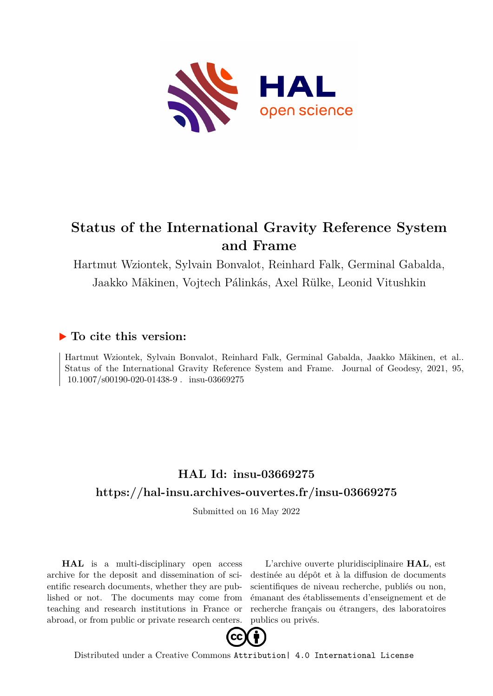

# **Status of the International Gravity Reference System and Frame**

Hartmut Wziontek, Sylvain Bonvalot, Reinhard Falk, Germinal Gabalda, Jaakko Mäkinen, Vojtech Pálinkás, Axel Rülke, Leonid Vitushkin

# **To cite this version:**

Hartmut Wziontek, Sylvain Bonvalot, Reinhard Falk, Germinal Gabalda, Jaakko Mäkinen, et al.. Status of the International Gravity Reference System and Frame. Journal of Geodesy, 2021, 95,  $10.1007/s00190-020-01438-9$ . insu-03669275

# **HAL Id: insu-03669275 <https://hal-insu.archives-ouvertes.fr/insu-03669275>**

Submitted on 16 May 2022

**HAL** is a multi-disciplinary open access archive for the deposit and dissemination of scientific research documents, whether they are published or not. The documents may come from teaching and research institutions in France or abroad, or from public or private research centers.

L'archive ouverte pluridisciplinaire **HAL**, est destinée au dépôt et à la diffusion de documents scientifiques de niveau recherche, publiés ou non, émanant des établissements d'enseignement et de recherche français ou étrangers, des laboratoires publics ou privés.



Distributed under a Creative Commons [Attribution| 4.0 International License](http://creativecommons.org/licenses/by/4.0/)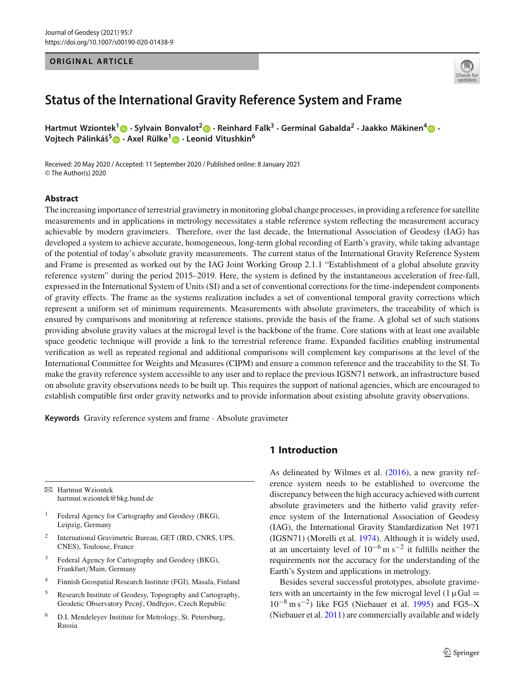#### **ORIGINAL ARTICLE**



# **Status of the International Gravity Reference System and Frame**

**Hartmut Wziontek<sup>1</sup> · Sylvain Bonvalot<sup>2</sup> · Reinhard Falk<sup>3</sup> · Germinal Gabalda<sup>2</sup> · Jaakko Mäkinen[4](http://orcid.org/0000-0002-7274-6376) · Vojtech Pálinká˘s[5](http://orcid.org/0000-0002-4999-9156) · [A](http://orcid.org/0000-0003-4139-714X)xel Rülke[1](http://orcid.org/0000-0003-1299-0163) · Leo[nid](http://orcid.org/0000-0002-2753-4163) Vitushkin<sup>6</sup>**

Received: 20 May 2020 / Accepted: 11 September 2020 / Published online: 8 January 2021 © The Author(s) 2020

#### **Abstract**

The increasing importance of terrestrial gravimetry in monitoring global change processes, in providing a reference for satellite measurements and in applications in metrology necessitates a stable reference system reflecting the measurement accuracy achievable by modern gravimeters. Therefore, over the last decade, the International Association of Geodesy (IAG) has developed a system to achieve accurate, homogeneous, long-term global recording of Earth's gravity, while taking advantage of the potential of today's absolute gravity measurements. The current status of the International Gravity Reference System and Frame is presented as worked out by the IAG Joint Working Group 2.1.1 "Establishment of a global absolute gravity reference system" during the period 2015–2019. Here, the system is defined by the instantaneous acceleration of free-fall, expressed in the International System of Units (SI) and a set of conventional corrections for the time-independent components of gravity effects. The frame as the systems realization includes a set of conventional temporal gravity corrections which represent a uniform set of minimum requirements. Measurements with absolute gravimeters, the traceability of which is ensured by comparisons and monitoring at reference stations, provide the basis of the frame. A global set of such stations providing absolute gravity values at the microgal level is the backbone of the frame. Core stations with at least one available space geodetic technique will provide a link to the terrestrial reference frame. Expanded facilities enabling instrumental verification as well as repeated regional and additional comparisons will complement key comparisons at the level of the International Committee for Weights and Measures (CIPM) and ensure a common reference and the traceability to the SI. To make the gravity reference system accessible to any user and to replace the previous IGSN71 network, an infrastructure based on absolute gravity observations needs to be built up. This requires the support of national agencies, which are encouraged to establish compatible first order gravity networks and to provide information about existing absolute gravity observations.

**Keywords** Gravity reference system and frame · Absolute gravimeter

B Hartmut Wziontek hartmut.wziontek@bkg.bund.de

- <sup>1</sup> Federal Agency for Cartography and Geodesy (BKG), Leipzig, Germany
- <sup>2</sup> International Gravimetric Bureau, GET (IRD, CNRS, UPS, CNES), Toulouse, France
- <sup>3</sup> Federal Agency for Cartography and Geodesy (BKG), Frankfurt/Main, Germany
- <sup>4</sup> Finnish Geospatial Research Institute (FGI), Masala, Finland
- <sup>5</sup> Research Institute of Geodesy, Topography and Cartography, Geodetic Observatory Pecný, Ondřejov, Czech Republic
- <sup>6</sup> D.I. Mendeleyev Institute for Metrology, St. Petersburg, Russia

# **1 Introduction**

As delineated by Wilmes et al. (2016), a new gravity reference system needs to be established to overcome the discrepancy between the high accuracy achieved with current absolute gravimeters and the hitherto valid gravity reference system of the International Association of Geodesy (IAG), the International Gravity Standardization Net 1971 (IGSN71) (Morelli et al. 1974). Although it is widely used, at an uncertainty level of  $10^{-6}$  m s<sup>-2</sup> it fulfills neither the requirements nor the accuracy for the understanding of the Earth's System and applications in metrology.

Besides several successful prototypes, absolute gravimeters with an uncertainty in the few microgal level (1 $\mu$ Gal = 10−<sup>8</sup> m s−2) like FG5 (Niebauer et al. 1995) and FG5–X (Niebauer et al. 2011) are commercially available and widely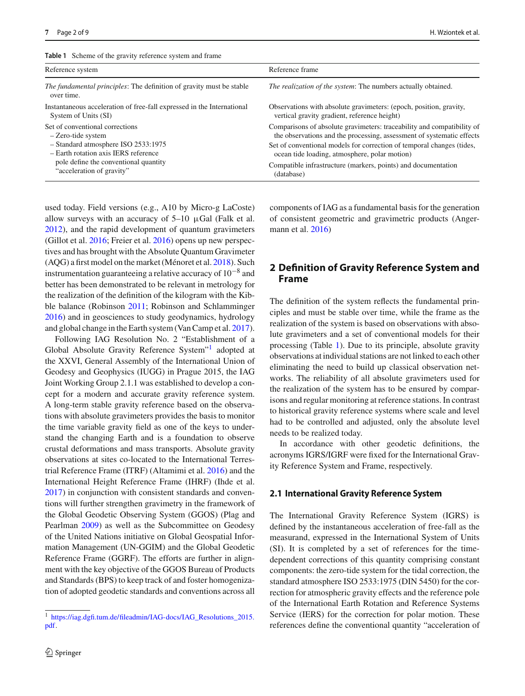| Reference system                                                                                                                                                                                           | Reference frame                                                                                                                                                                                                                                                           |
|------------------------------------------------------------------------------------------------------------------------------------------------------------------------------------------------------------|---------------------------------------------------------------------------------------------------------------------------------------------------------------------------------------------------------------------------------------------------------------------------|
| <i>The fundamental principles:</i> The definition of gravity must be stable<br>over time.                                                                                                                  | <i>The realization of the system:</i> The numbers actually obtained.                                                                                                                                                                                                      |
| Instantaneous acceleration of free-fall expressed in the International<br>System of Units (SI)                                                                                                             | Observations with absolute gravimeters: (epoch, position, gravity,<br>vertical gravity gradient, reference height)                                                                                                                                                        |
| Set of conventional corrections<br>- Zero-tide system<br>- Standard atmosphere ISO 2533:1975<br>- Earth rotation axis IERS reference<br>pole define the conventional quantity<br>"acceleration of gravity" | Comparisons of absolute gravimeters: traceability and compatibility of<br>the observations and the processing, assessment of systematic effects<br>Set of conventional models for correction of temporal changes (tides,<br>ocean tide loading, atmosphere, polar motion) |
|                                                                                                                                                                                                            | Compatible infrastructure (markers, points) and documentation<br>(database)                                                                                                                                                                                               |

used today. Field versions (e.g., A10 by Micro-g LaCoste) allow surveys with an accuracy of  $5-10 \mu Gal$  (Falk et al. 2012), and the rapid development of quantum gravimeters (Gillot et al. 2016; Freier et al. 2016) opens up new perspectives and has brought with the Absolute Quantum Gravimeter (AQG) a first model on the market (Ménoret et al. 2018). Such instrumentation guaranteeing a relative accuracy of  $10^{-8}$  and better has been demonstrated to be relevant in metrology for the realization of the definition of the kilogram with the Kibble balance (Robinson 2011; Robinson and Schlamminger 2016) and in geosciences to study geodynamics, hydrology and global change in the Earth system (Van Camp et al. 2017).

Following IAG Resolution No. 2 "Establishment of a Global Absolute Gravity Reference System"1 adopted at the XXVI, General Assembly of the International Union of Geodesy and Geophysics (IUGG) in Prague 2015, the IAG Joint Working Group 2.1.1 was established to develop a concept for a modern and accurate gravity reference system. A long-term stable gravity reference based on the observations with absolute gravimeters provides the basis to monitor the time variable gravity field as one of the keys to understand the changing Earth and is a foundation to observe crustal deformations and mass transports. Absolute gravity observations at sites co-located to the International Terrestrial Reference Frame (ITRF) (Altamimi et al. 2016) and the International Height Reference Frame (IHRF) (Ihde et al. 2017) in conjunction with consistent standards and conventions will further strengthen gravimetry in the framework of the Global Geodetic Observing System (GGOS) (Plag and Pearlman 2009) as well as the Subcommittee on Geodesy of the United Nations initiative on Global Geospatial Information Management (UN-GGIM) and the Global Geodetic Reference Frame (GGRF). The efforts are further in alignment with the key objective of the GGOS Bureau of Products and Standards (BPS) to keep track of and foster homogenization of adopted geodetic standards and conventions across all

components of IAG as a fundamental basis for the generation of consistent geometric and gravimetric products (Angermann et al. 2016)

# **2 Definition of Gravity Reference System and Frame**

The definition of the system reflects the fundamental principles and must be stable over time, while the frame as the realization of the system is based on observations with absolute gravimeters and a set of conventional models for their processing (Table 1). Due to its principle, absolute gravity observations at individual stations are not linked to each other eliminating the need to build up classical observation networks. The reliability of all absolute gravimeters used for the realization of the system has to be ensured by comparisons and regular monitoring at reference stations. In contrast to historical gravity reference systems where scale and level had to be controlled and adjusted, only the absolute level needs to be realized today.

In accordance with other geodetic definitions, the acronyms IGRS/IGRF were fixed for the International Gravity Reference System and Frame, respectively.

#### **2.1 International Gravity Reference System**

The International Gravity Reference System (IGRS) is defined by the instantaneous acceleration of free-fall as the measurand, expressed in the International System of Units (SI). It is completed by a set of references for the timedependent corrections of this quantity comprising constant components: the zero-tide system for the tidal correction, the standard atmosphere ISO 2533:1975 (DIN 5450) for the correction for atmospheric gravity effects and the reference pole of the International Earth Rotation and Reference Systems Service (IERS) for the correction for polar motion. These references define the conventional quantity "acceleration of

<sup>1</sup> [https://iag.dgfi.tum.de/fileadmin/IAG-docs/IAG\\_Resolutions\\_2015.](https://iag.dgfi.tum.de/fileadmin/IAG-docs/IAG_Resolutions_2015.pdf) [pdf.](https://iag.dgfi.tum.de/fileadmin/IAG-docs/IAG_Resolutions_2015.pdf)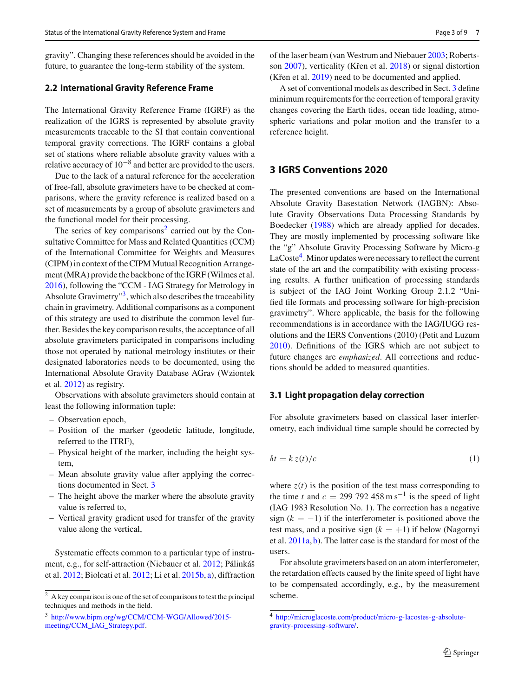gravity". Changing these references should be avoided in the future, to guarantee the long-term stability of the system.

#### **2.2 International Gravity Reference Frame**

The International Gravity Reference Frame (IGRF) as the realization of the IGRS is represented by absolute gravity measurements traceable to the SI that contain conventional temporal gravity corrections. The IGRF contains a global set of stations where reliable absolute gravity values with a relative accuracy of  $10^{-8}$  and better are provided to the users.

Due to the lack of a natural reference for the acceleration of free-fall, absolute gravimeters have to be checked at comparisons, where the gravity reference is realized based on a set of measurements by a group of absolute gravimeters and the functional model for their processing.

The series of key comparisons<sup>2</sup> carried out by the Consultative Committee for Mass and Related Quantities (CCM) of the International Committee for Weights and Measures (CIPM) in context of the CIPM Mutual Recognition Arrangement (MRA) provide the backbone of the IGRF (Wilmes et al. 2016), following the "CCM - IAG Strategy for Metrology in Absolute Gravimetry"<sup>3</sup>, which also describes the traceability chain in gravimetry. Additional comparisons as a component of this strategy are used to distribute the common level further. Besides the key comparison results, the acceptance of all absolute gravimeters participated in comparisons including those not operated by national metrology institutes or their designated laboratories needs to be documented, using the International Absolute Gravity Database AGrav (Wziontek et al. 2012) as registry.

Observations with absolute gravimeters should contain at least the following information tuple:

- Observation epoch,
- Position of the marker (geodetic latitude, longitude, referred to the ITRF),
- Physical height of the marker, including the height system,
- Mean absolute gravity value after applying the corrections documented in Sect. 3
- The height above the marker where the absolute gravity value is referred to,
- Vertical gravity gradient used for transfer of the gravity value along the vertical,

Systematic effects common to a particular type of instrument, e.g., for self-attraction (Niebauer et al. 2012; Pálinkáš et al. 2012; Biolcati et al. 2012; Li et al. 2015b, a), diffraction of the laser beam (van Westrum and Niebauer 2003; Robertsson 2007), verticality (Křen et al. 2018) or signal distortion (Křen et al.  $2019$ ) need to be documented and applied.

A set of conventional models as described in Sect. 3 define minimum requirements for the correction of temporal gravity changes covering the Earth tides, ocean tide loading, atmospheric variations and polar motion and the transfer to a reference height.

# **3 IGRS Conventions 2020**

The presented conventions are based on the International Absolute Gravity Basestation Network (IAGBN): Absolute Gravity Observations Data Processing Standards by Boedecker (1988) which are already applied for decades. They are mostly implemented by processing software like the "g" Absolute Gravity Processing Software by Micro-g  $LaCoste<sup>4</sup>$ . Minor updates were necessary to reflect the current state of the art and the compatibility with existing processing results. A further unification of processing standards is subject of the IAG Joint Working Group 2.1.2 "Unified file formats and processing software for high-precision gravimetry". Where applicable, the basis for the following recommendations is in accordance with the IAG/IUGG resolutions and the IERS Conventions (2010) (Petit and Luzum 2010). Definitions of the IGRS which are not subject to future changes are *emphasized*. All corrections and reductions should be added to measured quantities.

#### **3.1 Light propagation delay correction**

For absolute gravimeters based on classical laser interferometry, each individual time sample should be corrected by

$$
\delta t = k z(t)/c \tag{1}
$$

where  $z(t)$  is the position of the test mass corresponding to the time *t* and  $c = 299\,792\,458 \,\mathrm{m s}^{-1}$  is the speed of light (IAG 1983 Resolution No. 1). The correction has a negative sign  $(k = -1)$  if the interferometer is positioned above the test mass, and a positive sign  $(k = +1)$  if below (Nagornyi et al. 2011a, b). The latter case is the standard for most of the users.

For absolute gravimeters based on an atom interferometer, the retardation effects caused by the finite speed of light have to be compensated accordingly, e.g., by the measurement scheme.

 $\sqrt{2}$  A key comparison is one of the set of comparisons to test the principal techniques and methods in the field.

<sup>3</sup> [http://www.bipm.org/wg/CCM/CCM-WGG/Allowed/2015](http://www.bipm.org/wg/CCM/CCM-WGG/Allowed/2015-meeting/CCM_IAG_Strategy.pdf) [meeting/CCM\\_IAG\\_Strategy.pdf.](http://www.bipm.org/wg/CCM/CCM-WGG/Allowed/2015-meeting/CCM_IAG_Strategy.pdf)

<sup>4</sup> [http://microglacoste.com/product/micro-g-lacostes-g-absolute](http://microglacoste.com/product/micro-g-lacostes-g-absolute-gravity-processing-software/)[gravity-processing-software/.](http://microglacoste.com/product/micro-g-lacostes-g-absolute-gravity-processing-software/)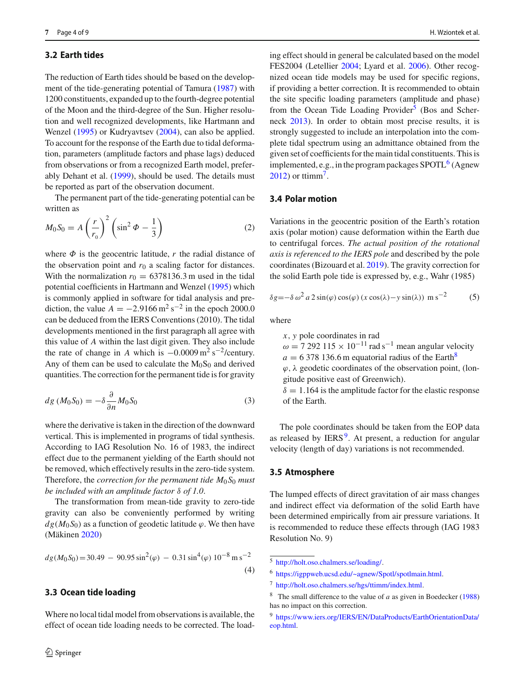#### **3.2 Earth tides**

The reduction of Earth tides should be based on the development of the tide-generating potential of Tamura (1987) with 1200 constituents, expanded up to the fourth-degree potential of the Moon and the third-degree of the Sun. Higher resolution and well recognized developments, like Hartmann and Wenzel (1995) or Kudryavtsev (2004), can also be applied. To account for the response of the Earth due to tidal deformation, parameters (amplitude factors and phase lags) deduced from observations or from a recognized Earth model, preferably Dehant et al. (1999), should be used. The details must be reported as part of the observation document.

The permanent part of the tide-generating potential can be written as

$$
M_0 S_0 = A \left(\frac{r}{r_0}\right)^2 \left(\sin^2 \Phi - \frac{1}{3}\right) \tag{2}
$$

where  $\Phi$  is the geocentric latitude,  $r$  the radial distance of the observation point and  $r_0$  a scaling factor for distances. With the normalization  $r_0 = 6378136.3$  m used in the tidal potential coefficients in Hartmann and Wenzel (1995) which is commonly applied in software for tidal analysis and prediction, the value  $A = -2.9166 \,\mathrm{m}^2 \,\mathrm{s}^{-2}$  in the epoch 2000.0 can be deduced from the IERS Conventions (2010). The tidal developments mentioned in the first paragraph all agree with this value of *A* within the last digit given. They also include the rate of change in *A* which is  $-0.0009 \text{ m}^2 \text{ s}^{-2}$ /century. Any of them can be used to calculate the  $M_0S_0$  and derived quantities. The correction for the permanent tide is for gravity

$$
dg\left(M_0S_0\right) = -\delta \frac{\partial}{\partial n}M_0S_0\tag{3}
$$

where the derivative is taken in the direction of the downward vertical. This is implemented in programs of tidal synthesis. According to IAG Resolution No. 16 of 1983, the indirect effect due to the permanent yielding of the Earth should not be removed, which effectively results in the zero-tide system. Therefore, the *correction for the permanent tide*  $M_0 S_0$  *must be included with an amplitude factor* δ *of 1.0*.

The transformation from mean-tide gravity to zero-tide gravity can also be conveniently performed by writing  $dg(M_0 S_0)$  as a function of geodetic latitude  $\varphi$ . We then have (Mäkinen 2020)

$$
dg(M_0S_0) = 30.49 - 90.95 \sin^2(\varphi) - 0.31 \sin^4(\varphi) 10^{-8} \text{ m s}^{-2}
$$
\n(4)

#### **3.3 Ocean tide loading**

Where no local tidal model from observations is available, the effect of ocean tide loading needs to be corrected. The loading effect should in general be calculated based on the model FES2004 (Letellier 2004; Lyard et al. 2006). Other recognized ocean tide models may be used for specific regions, if providing a better correction. It is recommended to obtain the site specific loading parameters (amplitude and phase) from the Ocean Tide Loading Provider<sup>5</sup> (Bos and Scherneck 2013). In order to obtain most precise results, it is strongly suggested to include an interpolation into the complete tidal spectrum using an admittance obtained from the given set of coefficients for the main tidal constituents. This is implemented, e.g., in the program packages  $SPOTL<sup>6</sup>$  (Agnew 2012) or ttimm7.

# **3.4 Polar motion**

Variations in the geocentric position of the Earth's rotation axis (polar motion) cause deformation within the Earth due to centrifugal forces. *The actual position of the rotational axis is referenced to the IERS pole* and described by the pole coordinates (Bizouard et al. 2019). The gravity correction for the solid Earth pole tide is expressed by, e.g., Wahr (1985)

$$
\delta g = -\delta \omega^2 a \, 2 \sin(\varphi) \cos(\varphi) \left( x \cos(\lambda) - y \sin(\lambda) \right) \, \text{m s}^{-2} \tag{5}
$$

where

*x*, *y* pole coordinates in rad  $\omega$  = 7 292 115 × 10<sup>-11</sup> rad s<sup>-1</sup> mean angular velocity  $a = 6378136.6$  m equatorial radius of the Earth<sup>8</sup>  $\varphi$ ,  $\lambda$  geodetic coordinates of the observation point, (longitude positive east of Greenwich).  $\delta = 1.164$  is the amplitude factor for the elastic response of the Earth.

The pole coordinates should be taken from the EOP data as released by  $IERS<sup>9</sup>$ . At present, a reduction for angular velocity (length of day) variations is not recommended.

#### **3.5 Atmosphere**

The lumped effects of direct gravitation of air mass changes and indirect effect via deformation of the solid Earth have been determined empirically from air pressure variations. It is recommended to reduce these effects through (IAG 1983 Resolution No. 9)

<sup>5</sup> [http://holt.oso.chalmers.se/loading/.](http://holt.oso.chalmers.se/loading/)

<sup>6</sup> [https://igppweb.ucsd.edu/~agnew/Spotl/spotlmain.html.](https://igppweb.ucsd.edu/~agnew/Spotl/spotlmain.html)

<sup>7</sup> [http://holt.oso.chalmers.se/hgs/ttimm/index.html.](http://holt.oso.chalmers.se/hgs/ttimm/index.html)

<sup>8</sup> The small difference to the value of *a* as given in Boedecker (1988) has no impact on this correction.

<sup>9</sup> [https://www.iers.org/IERS/EN/DataProducts/EarthOrientationData/](https://www.iers.org/IERS/EN/DataProducts/EarthOrientationData/eop.html) [eop.html.](https://www.iers.org/IERS/EN/DataProducts/EarthOrientationData/eop.html)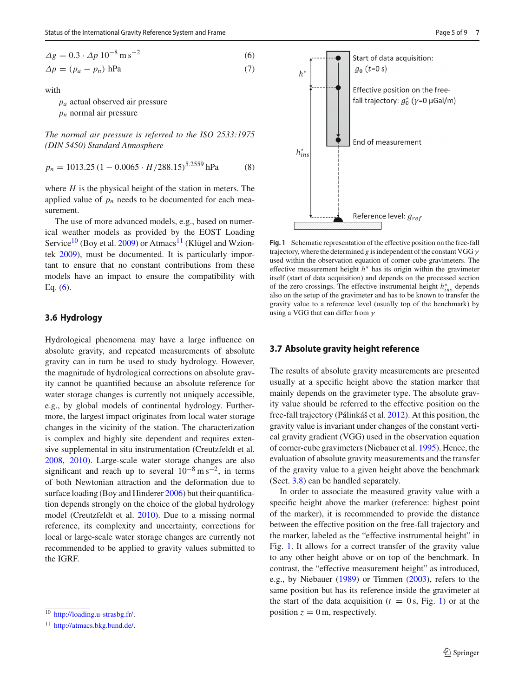$$
\Delta g = 0.3 \cdot \Delta p \, 10^{-8} \,\mathrm{m\,s}^{-2} \tag{6}
$$
  

$$
\Delta p = (p_a - p_n) \,\mathrm{hPa} \tag{7}
$$

with

*pa* actual observed air pressure

*pn* normal air pressure

*The normal air pressure is referred to the ISO 2533:1975 (DIN 5450) Standard Atmosphere*

$$
p_n = 1013.25 \left(1 - 0.0065 \cdot H / 288.15\right)^{5.2559} \text{hPa} \tag{8}
$$

where *H* is the physical height of the station in meters. The applied value of  $p_n$  needs to be documented for each measurement.

The use of more advanced models, e.g., based on numerical weather models as provided by the EOST Loading Service<sup>10</sup> (Boy et al. 2009) or Atmacs<sup>11</sup> (Klügel and Wziontek 2009), must be documented. It is particularly important to ensure that no constant contributions from these models have an impact to ensure the compatibility with Eq. (6).

#### **3.6 Hydrology**

Hydrological phenomena may have a large influence on absolute gravity, and repeated measurements of absolute gravity can in turn be used to study hydrology. However, the magnitude of hydrological corrections on absolute gravity cannot be quantified because an absolute reference for water storage changes is currently not uniquely accessible, e.g., by global models of continental hydrology. Furthermore, the largest impact originates from local water storage changes in the vicinity of the station. The characterization is complex and highly site dependent and requires extensive supplemental in situ instrumentation (Creutzfeldt et al. 2008, 2010). Large-scale water storage changes are also significant and reach up to several  $10^{-8}$  m s<sup>-2</sup>, in terms of both Newtonian attraction and the deformation due to surface loading (Boy and Hinderer 2006) but their quantification depends strongly on the choice of the global hydrology model (Creutzfeldt et al. 2010). Due to a missing normal reference, its complexity and uncertainty, corrections for local or large-scale water storage changes are currently not recommended to be applied to gravity values submitted to the IGRF.



**Fig. 1** Schematic representation of the effective position on the free-fall trajectory, where the determined *g* is independent of the constant VGG  $\gamma$ used within the observation equation of corner-cube gravimeters. The effective measurement height *h*∗ has its origin within the gravimeter itself (start of data acquisition) and depends on the processed section of the zero crossings. The effective instrumental height *h*∗ *ins* depends also on the setup of the gravimeter and has to be known to transfer the gravity value to a reference level (usually top of the benchmark) by using a VGG that can differ from  $\gamma$ 

# **3.7 Absolute gravity height reference**

The results of absolute gravity measurements are presented usually at a specific height above the station marker that mainly depends on the gravimeter type. The absolute gravity value should be referred to the effective position on the free-fall trajectory (Pálinkáš et al. 2012). At this position, the gravity value is invariant under changes of the constant vertical gravity gradient (VGG) used in the observation equation of corner-cube gravimeters (Niebauer et al. 1995). Hence, the evaluation of absolute gravity measurements and the transfer of the gravity value to a given height above the benchmark (Sect. 3.8) can be handled separately.

In order to associate the measured gravity value with a specific height above the marker (reference: highest point of the marker), it is recommended to provide the distance between the effective position on the free-fall trajectory and the marker, labeled as the "effective instrumental height" in Fig. 1. It allows for a correct transfer of the gravity value to any other height above or on top of the benchmark. In contrast, the "effective measurement height" as introduced, e.g., by Niebauer (1989) or Timmen (2003), refers to the same position but has its reference inside the gravimeter at the start of the data acquisition  $(t = 0s, Fig. 1)$  or at the position  $z = 0$  m, respectively.

<sup>10</sup> [http://loading.u-strasbg.fr/.](http://loading.u-strasbg.fr/)

<sup>&</sup>lt;sup>11</sup> [http://atmacs.bkg.bund.de/.](http://atmacs.bkg.bund.de/)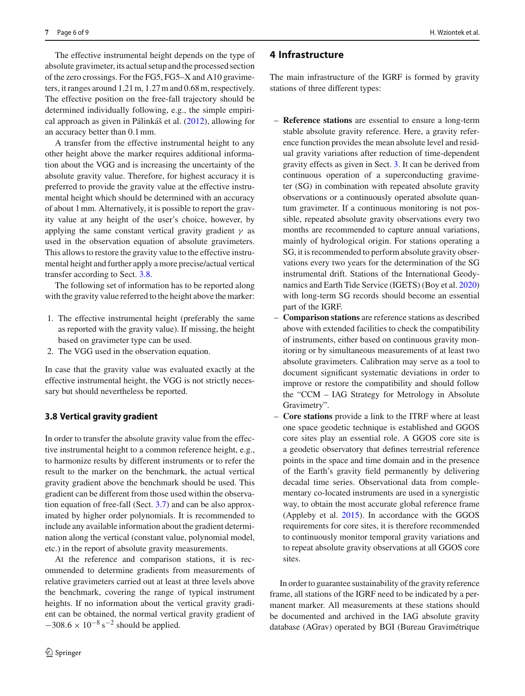The effective instrumental height depends on the type of absolute gravimeter, its actual setup and the processed section of the zero crossings. For the FG5, FG5–X and A10 gravimeters, it ranges around 1.21 m, 1.27 m and 0.68 m, respectively. The effective position on the free-fall trajectory should be determined individually following, e.g., the simple empirical approach as given in Pálinkáš et al. (2012), allowing for an accuracy better than 0.1 mm.

A transfer from the effective instrumental height to any other height above the marker requires additional information about the VGG and is increasing the uncertainty of the absolute gravity value. Therefore, for highest accuracy it is preferred to provide the gravity value at the effective instrumental height which should be determined with an accuracy of about 1 mm. Alternatively, it is possible to report the gravity value at any height of the user's choice, however, by applying the same constant vertical gravity gradient  $\gamma$  as used in the observation equation of absolute gravimeters. This allows to restore the gravity value to the effective instrumental height and further apply a more precise/actual vertical transfer according to Sect. 3.8.

The following set of information has to be reported along with the gravity value referred to the height above the marker:

- 1. The effective instrumental height (preferably the same as reported with the gravity value). If missing, the height based on gravimeter type can be used.
- 2. The VGG used in the observation equation.

In case that the gravity value was evaluated exactly at the effective instrumental height, the VGG is not strictly necessary but should nevertheless be reported.

#### **3.8 Vertical gravity gradient**

In order to transfer the absolute gravity value from the effective instrumental height to a common reference height, e.g., to harmonize results by different instruments or to refer the result to the marker on the benchmark, the actual vertical gravity gradient above the benchmark should be used. This gradient can be different from those used within the observation equation of free-fall (Sect. 3.7) and can be also approximated by higher order polynomials. It is recommended to include any available information about the gradient determination along the vertical (constant value, polynomial model, etc.) in the report of absolute gravity measurements.

At the reference and comparison stations, it is recommended to determine gradients from measurements of relative gravimeters carried out at least at three levels above the benchmark, covering the range of typical instrument heights. If no information about the vertical gravity gradient can be obtained, the normal vertical gravity gradient of  $-308.6 \times 10^{-8}$  s<sup>-2</sup> should be applied.

### **4 Infrastructure**

The main infrastructure of the IGRF is formed by gravity stations of three different types:

- **Reference stations** are essential to ensure a long-term stable absolute gravity reference. Here, a gravity reference function provides the mean absolute level and residual gravity variations after reduction of time-dependent gravity effects as given in Sect. 3. It can be derived from continuous operation of a superconducting gravimeter (SG) in combination with repeated absolute gravity observations or a continuously operated absolute quantum gravimeter. If a continuous monitoring is not possible, repeated absolute gravity observations every two months are recommended to capture annual variations, mainly of hydrological origin. For stations operating a SG, it is recommended to perform absolute gravity observations every two years for the determination of the SG instrumental drift. Stations of the International Geodynamics and Earth Tide Service (IGETS) (Boy et al. 2020) with long-term SG records should become an essential part of the IGRF.
- **Comparison stations** are reference stations as described above with extended facilities to check the compatibility of instruments, either based on continuous gravity monitoring or by simultaneous measurements of at least two absolute gravimeters. Calibration may serve as a tool to document significant systematic deviations in order to improve or restore the compatibility and should follow the "CCM – IAG Strategy for Metrology in Absolute Gravimetry".
- **Core stations** provide a link to the ITRF where at least one space geodetic technique is established and GGOS core sites play an essential role. A GGOS core site is a geodetic observatory that defines terrestrial reference points in the space and time domain and in the presence of the Earth's gravity field permanently by delivering decadal time series. Observational data from complementary co-located instruments are used in a synergistic way, to obtain the most accurate global reference frame (Appleby et al. 2015). In accordance with the GGOS requirements for core sites, it is therefore recommended to continuously monitor temporal gravity variations and to repeat absolute gravity observations at all GGOS core sites.

In order to guarantee sustainability of the gravity reference frame, all stations of the IGRF need to be indicated by a permanent marker. All measurements at these stations should be documented and archived in the IAG absolute gravity database (AGrav) operated by BGI (Bureau Gravimétrique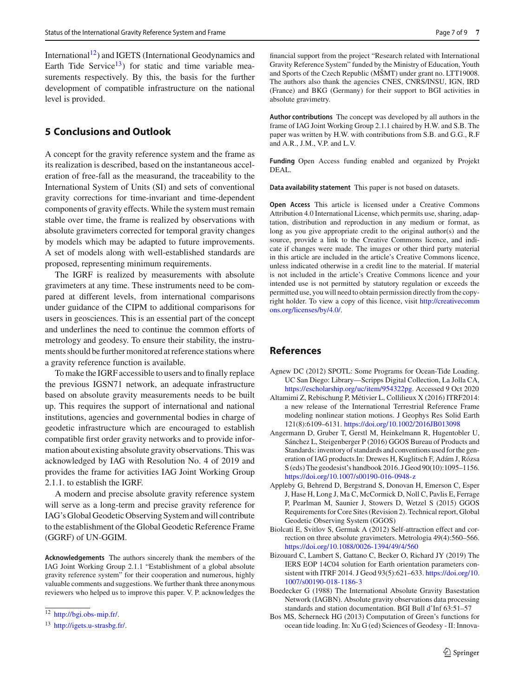International<sup>12</sup>) and IGETS (International Geodynamics and Earth Tide Service<sup>13</sup>) for static and time variable measurements respectively. By this, the basis for the further development of compatible infrastructure on the national level is provided.

# **5 Conclusions and Outlook**

A concept for the gravity reference system and the frame as its realization is described, based on the instantaneous acceleration of free-fall as the measurand, the traceability to the International System of Units (SI) and sets of conventional gravity corrections for time-invariant and time-dependent components of gravity effects. While the system must remain stable over time, the frame is realized by observations with absolute gravimeters corrected for temporal gravity changes by models which may be adapted to future improvements. A set of models along with well-established standards are proposed, representing minimum requirements.

The IGRF is realized by measurements with absolute gravimeters at any time. These instruments need to be compared at different levels, from international comparisons under guidance of the CIPM to additional comparisons for users in geosciences. This is an essential part of the concept and underlines the need to continue the common efforts of metrology and geodesy. To ensure their stability, the instruments should be further monitored at reference stations where a gravity reference function is available.

To make the IGRF accessible to users and to finally replace the previous IGSN71 network, an adequate infrastructure based on absolute gravity measurements needs to be built up. This requires the support of international and national institutions, agencies and governmental bodies in charge of geodetic infrastructure which are encouraged to establish compatible first order gravity networks and to provide information about existing absolute gravity observations. This was acknowledged by IAG with Resolution No. 4 of 2019 and provides the frame for activities IAG Joint Working Group 2.1.1. to establish the IGRF.

A modern and precise absolute gravity reference system will serve as a long-term and precise gravity reference for IAG's Global Geodetic Observing System and will contribute to the establishment of the Global Geodetic Reference Frame (GGRF) of UN-GGIM.

**Acknowledgements** The authors sincerely thank the members of the IAG Joint Working Group 2.1.1 "Establishment of a global absolute gravity reference system" for their cooperation and numerous, highly valuable comments and suggestions. We further thank three anonymous reviewers who helped us to improve this paper. V. P. acknowledges the financial support from the project "Research related with International Gravity Reference System" funded by the Ministry of Education, Youth and Sports of the Czech Republic (MSMT) under grant no. LTT19008. The authors also thank the agencies CNES, CNRS/INSU, IGN, IRD (France) and BKG (Germany) for their support to BGI activities in absolute gravimetry.

**Author contributions** The concept was developed by all authors in the frame of IAG Joint Working Group 2.1.1 chaired by H.W. and S.B. The paper was written by H.W. with contributions from S.B. and G.G., R.F and A.R., J.M., V.P. and L.V.

**Funding** Open Access funding enabled and organized by Projekt DEAL.

**Data availability statement** This paper is not based on datasets.

**Open Access** This article is licensed under a Creative Commons Attribution 4.0 International License, which permits use, sharing, adaptation, distribution and reproduction in any medium or format, as long as you give appropriate credit to the original author(s) and the source, provide a link to the Creative Commons licence, and indicate if changes were made. The images or other third party material in this article are included in the article's Creative Commons licence, unless indicated otherwise in a credit line to the material. If material is not included in the article's Creative Commons licence and your intended use is not permitted by statutory regulation or exceeds the permitted use, you will need to obtain permission directly from the copyright holder. To view a copy of this licence, visit [http://creativecomm](http://creativecommons.org/licenses/by/4.0/) [ons.org/licenses/by/4.0/.](http://creativecommons.org/licenses/by/4.0/)

# **References**

- Agnew DC (2012) SPOTL: Some Programs for Ocean-Tide Loading. UC San Diego: Library—Scripps Digital Collection, La Jolla CA, [https://escholarship.org/uc/item/954322pg.](https://escholarship.org/uc/item/954322pg) Accessed 9 Oct 2020
- Altamimi Z, Rebischung P, Métivier L, Collilieux X (2016) ITRF2014: a new release of the International Terrestrial Reference Frame modeling nonlinear station motions. J Geophys Res Solid Earth 121(8):6109–6131. <https://doi.org/10.1002/2016JB013098>
- Angermann D, Gruber T, Gerstl M, Heinkelmann R, Hugentobler U, Sánchez L, Steigenberger P (2016) GGOS Bureau of Products and Standards: inventory of standards and conventions used for the generation of IAG products.In: Drewes H, Kuglitsch F, Adám J, Rózsa S (eds) The geodesist's handbook 2016. J Geod 90(10):1095–1156. <https://doi.org/10.1007/s00190-016-0948-z>
- Appleby G, Behrend D, Bergstrand S, Donovan H, Emerson C, Esper J, Hase H, Long J, Ma C, McCormick D, Noll C, Pavlis E, Ferrage P, Pearlman M, Saunier J, Stowers D, Wetzel S (2015) GGOS Requirements for Core Sites (Revision 2). Technical report, Global Geodetic Observing System (GGOS)
- Biolcati E, Svitlov S, Germak A (2012) Self-attraction effect and correction on three absolute gravimeters. Metrologia 49(4):560–566. <https://doi.org/10.1088/0026-1394/49/4/560>
- Bizouard C, Lambert S, Gattano C, Becker O, Richard JY (2019) The IERS EOP 14C04 solution for Earth orientation parameters consistent with ITRF 2014. J Geod 93(5):621–633. [https://doi.org/10.](https://doi.org/10.1007/s00190-018-1186-3) [1007/s00190-018-1186-3](https://doi.org/10.1007/s00190-018-1186-3)
- Boedecker G (1988) The International Absolute Gravity Basestation Network (IAGBN). Absolute gravity observations data processing standards and station documentation. BGI Bull d'Inf 63:51–57
- Bos MS, Scherneck HG (2013) Computation of Green's functions for ocean tide loading. In: Xu G (ed) Sciences of Geodesy - II: Innova-

<sup>12</sup> [http://bgi.obs-mip.fr/.](http://bgi.obs-mip.fr/)

<sup>13</sup> [http://igets.u-strasbg.fr/.](http://igets.u-strasbg.fr/)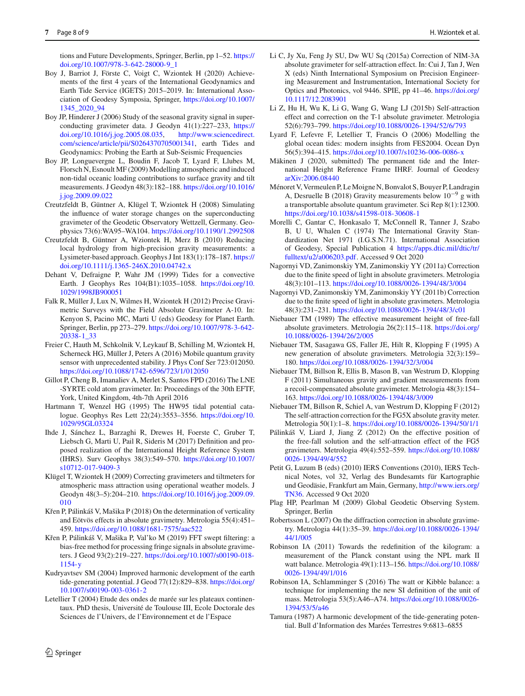tions and Future Developments, Springer, Berlin, pp 1–52. [https://](https://doi.org/10.1007/978-3-642-28000-9_1) [doi.org/10.1007/978-3-642-28000-9\\_1](https://doi.org/10.1007/978-3-642-28000-9_1)

- Boy J, Barriot J, Förste C, Voigt C, Wziontek H (2020) Achievements of the first 4 years of the International Geodynamics and Earth Tide Service (IGETS) 2015–2019. In: International Association of Geodesy Symposia, Springer, [https://doi.org/10.1007/](https://doi.org/10.1007/1345_2020_94) [1345\\_2020\\_94](https://doi.org/10.1007/1345_2020_94)
- Boy JP, Hinderer J (2006) Study of the seasonal gravity signal in superconducting gravimeter data. J Geodyn 41(1):227–233, [https://](https://doi.org/10.1016/j.jog.2005.08.035) [doi.org/10.1016/j.jog.2005.08.035,](https://doi.org/10.1016/j.jog.2005.08.035) [http://www.sciencedirect.](http://www.sciencedirect.com/science/article/pii/S0264370705001341) [com/science/article/pii/S0264370705001341,](http://www.sciencedirect.com/science/article/pii/S0264370705001341) earth Tides and Geodynamics: Probing the Earth at Sub-Seismic Frequencies
- Boy JP, Longuevergne L, Boudin F, Jacob T, Lyard F, Llubes M, Florsch N, Esnoult MF (2009) Modelling atmospheric and induced non-tidal oceanic loading contributions to surface gravity and tilt measurements. J Geodyn 48(3):182–188. [https://doi.org/10.1016/](https://doi.org/10.1016/j.jog.2009.09.022) [j.jog.2009.09.022](https://doi.org/10.1016/j.jog.2009.09.022)
- Creutzfeldt B, Güntner A, Klügel T, Wziontek H (2008) Simulating the influence of water storage changes on the superconducting gravimeter of the Geodetic Observatory Wettzell, Germany. Geophysics 73(6):WA95–WA104. <https://doi.org/10.1190/1.2992508>
- Creutzfeldt B, Güntner A, Wziontek H, Merz B (2010) Reducing local hydrology from high-precision gravity measurements: a Lysimeter-based approach. Geophys J Int 183(1):178–187. [https://](https://doi.org/10.1111/j.1365-246X.2010.04742.x) [doi.org/10.1111/j.1365-246X.2010.04742.x](https://doi.org/10.1111/j.1365-246X.2010.04742.x)
- Dehant V, Defraigne P, Wahr JM (1999) Tides for a convective Earth. J Geophys Res 104(B1):1035–1058. [https://doi.org/10.](https://doi.org/10.1029/1998JB900051) [1029/1998JB900051](https://doi.org/10.1029/1998JB900051)
- Falk R, Müller J, Lux N, Wilmes H, Wziontek H (2012) Precise Gravimetric Surveys with the Field Absolute Gravimeter A-10. In: Kenyon S, Pacino MC, Marti U (eds) Geodesy for Planet Earth. Springer, Berlin, pp 273–279. [https://doi.org/10.1007/978-3-642-](https://doi.org/10.1007/978-3-642-20338-1_33) [20338-1\\_33](https://doi.org/10.1007/978-3-642-20338-1_33)
- Freier C, Hauth M, Schkolnik V, Leykauf B, Schilling M, Wziontek H, Scherneck HG, Müller J, Peters A (2016) Mobile quantum gravity sensor with unprecedented stability. J Phys Conf Ser 723:012050. <https://doi.org/10.1088/1742-6596/723/1/012050>
- Gillot P, Cheng B, Imanaliev A, Merlet S, Santos FPD (2016) The LNE -SYRTE cold atom gravimeter. In: Proceedings of the 30th EFTF, York, United Kingdom, 4th-7th April 2016
- Hartmann T, Wenzel HG (1995) The HW95 tidal potential catalogue. Geophys Res Lett 22(24):3553–3556. [https://doi.org/10.](https://doi.org/10.1029/95GL03324) [1029/95GL03324](https://doi.org/10.1029/95GL03324)
- Ihde J, Sánchez L, Barzaghi R, Drewes H, Foerste C, Gruber T, Liebsch G, Marti U, Pail R, Sideris M (2017) Definition and proposed realization of the International Height Reference System (IHRS). Surv Geophys 38(3):549–570. [https://doi.org/10.1007/](https://doi.org/10.1007/s10712-017-9409-3) [s10712-017-9409-3](https://doi.org/10.1007/s10712-017-9409-3)
- Klügel T, Wziontek H (2009) Correcting gravimeters and tiltmeters for atmospheric mass attraction using operational weather models. J Geodyn 48(3–5):204–210. [https://doi.org/10.1016/j.jog.2009.09.](https://doi.org/10.1016/j.jog.2009.09.010) [010](https://doi.org/10.1016/j.jog.2009.09.010)
- Křen P, Pálinkáš V, Mašika P (2018) On the determination of verticality and Eötvös effects in absolute gravimetry. Metrologia 55(4):451– 459. <https://doi.org/10.1088/1681-7575/aac522>
- Křen P, Pálinkáš V, Mašika P, Val'ko M (2019) FFT swept filtering: a bias-free method for processing fringe signals in absolute gravimeters. J Geod 93(2):219–227. [https://doi.org/10.1007/s00190-018-](https://doi.org/10.1007/s00190-018-1154-y) [1154-y](https://doi.org/10.1007/s00190-018-1154-y)
- Kudryavtsev SM (2004) Improved harmonic development of the earth tide-generating potential. J Geod 77(12):829–838. [https://doi.org/](https://doi.org/10.1007/s00190-003-0361-2) [10.1007/s00190-003-0361-2](https://doi.org/10.1007/s00190-003-0361-2)
- Letellier T (2004) Etude des ondes de marée sur les plateaux continentaux. PhD thesis, Université de Toulouse III, Ecole Doctorale des Sciences de l'Univers, de l'Environnement et de l'Espace
- Li C, Jy Xu, Feng Jy SU, Dw WU Sq (2015a) Correction of NIM-3A absolute gravimeter for self-attraction effect. In: Cui J, Tan J, Wen X (eds) Ninth International Symposium on Precision Engineering Measurement and Instrumentation, International Society for Optics and Photonics, vol 9446. SPIE, pp 41–46. [https://doi.org/](https://doi.org/10.1117/12.2083901) [10.1117/12.2083901](https://doi.org/10.1117/12.2083901)
- Li Z, Hu H, Wu K, Li G, Wang G, Wang LJ (2015b) Self-attraction effect and correction on the T-1 absolute gravimeter. Metrologia 52(6):793–799. <https://doi.org/10.1088/0026-1394/52/6/793>
- Lyard F, Lefevre F, Letellier T, Francis O (2006) Modelling the global ocean tides: modern insights from FES2004. Ocean Dyn 56(5):394–415. <https://doi.org/10.1007/s10236-006-0086-x>
- Mäkinen J (2020, submitted) The permanent tide and the International Height Reference Frame IHRF. Journal of Geodesy [arXiv:2006.08440](http://arxiv.org/abs/2006.08440)
- Ménoret V, Vermeulen P, LeMoigne N, Bonvalot S, Bouyer P, Landragin A, Desruelle B (2018) Gravity measurements below  $10^{-9}$  g with a transportable absolute quantum gravimeter. Sci Rep 8(1):12300. <https://doi.org/10.1038/s41598-018-30608-1>
- Morelli C, Gantar C, Honkasalo T, McConnell R, Tanner J, Szabo B, U U, Whalen C (1974) The International Gravity Standardization Net 1971 (I.G.S.N.71). International Association of Geodesy, Special Publication 4 [https://apps.dtic.mil/dtic/tr/](https://apps.dtic.mil/dtic/tr/fulltext/u2/a006203.pdf) [fulltext/u2/a006203.pdf.](https://apps.dtic.mil/dtic/tr/fulltext/u2/a006203.pdf) Accessed 9 Oct 2020
- Nagornyi VD, Zanimonskiy YM, Zanimonskiy YY (2011a) Correction due to the finite speed of light in absolute gravimeters. Metrologia 48(3):101–113. <https://doi.org/10.1088/0026-1394/48/3/004>
- Nagornyi VD, Zanimonskiy YM, Zanimonskiy YY (2011b) Correction due to the finite speed of light in absolute gravimeters. Metrologia 48(3):231–231. <https://doi.org/10.1088/0026-1394/48/3/c01>
- Niebauer TM (1989) The effective measurement height of free-fall absolute gravimeters. Metrologia 26(2):115–118. [https://doi.org/](https://doi.org/10.1088/0026-1394/26/2/005) [10.1088/0026-1394/26/2/005](https://doi.org/10.1088/0026-1394/26/2/005)
- Niebauer TM, Sasagawa GS, Faller JE, Hilt R, Klopping F (1995) A new generation of absolute gravimeters. Metrologia 32(3):159– 180. <https://doi.org/10.1088/0026-1394/32/3/004>
- Niebauer TM, Billson R, Ellis B, Mason B, van Westrum D, Klopping F (2011) Simultaneous gravity and gradient measurements from a recoil-compensated absolute gravimeter. Metrologia 48(3):154– 163. <https://doi.org/10.1088/0026-1394/48/3/009>
- Niebauer TM, Billson R, Schiel A, van Westrum D, Klopping F (2012) The self-attraction correction for the FG5X absolute gravity meter. Metrologia 50(1):1–8. <https://doi.org/10.1088/0026-1394/50/1/1>
- Pálinkáš V, Liard J, Jiang Z (2012) On the effective position of the free-fall solution and the self-attraction effect of the FG5 gravimeters. Metrologia 49(4):552–559. [https://doi.org/10.1088/](https://doi.org/10.1088/0026-1394/49/4/552) [0026-1394/49/4/552](https://doi.org/10.1088/0026-1394/49/4/552)
- Petit G, Luzum B (eds) (2010) IERS Conventions (2010), IERS Technical Notes, vol 32, Verlag des Bundesamts für Kartographie und Geodäsie, Frankfurt am Main, Germany, [http://www.iers.org/](http://www.iers.org/TN36) [TN36.](http://www.iers.org/TN36) Accessed 9 Oct 2020
- Plag HP, Pearlman M (2009) Global Geodetic Observing System. Springer, Berlin
- Robertsson L (2007) On the diffraction correction in absolute gravimetry. Metrologia 44(1):35–39. [https://doi.org/10.1088/0026-1394/](https://doi.org/10.1088/0026-1394/44/1/005) [44/1/005](https://doi.org/10.1088/0026-1394/44/1/005)
- Robinson IA (2011) Towards the redefinition of the kilogram: a measurement of the Planck constant using the NPL mark II watt balance. Metrologia 49(1):113–156. [https://doi.org/10.1088/](https://doi.org/10.1088/0026-1394/49/1/016) [0026-1394/49/1/016](https://doi.org/10.1088/0026-1394/49/1/016)
- Robinson IA, Schlamminger S (2016) The watt or Kibble balance: a technique for implementing the new SI definition of the unit of mass. Metrologia 53(5):A46–A74. [https://doi.org/10.1088/0026-](https://doi.org/10.1088/0026-1394/53/5/a46) [1394/53/5/a46](https://doi.org/10.1088/0026-1394/53/5/a46)
- Tamura (1987) A harmonic development of the tide-generating potential. Bull d'Information des Marées Terrestres 9:6813–6855